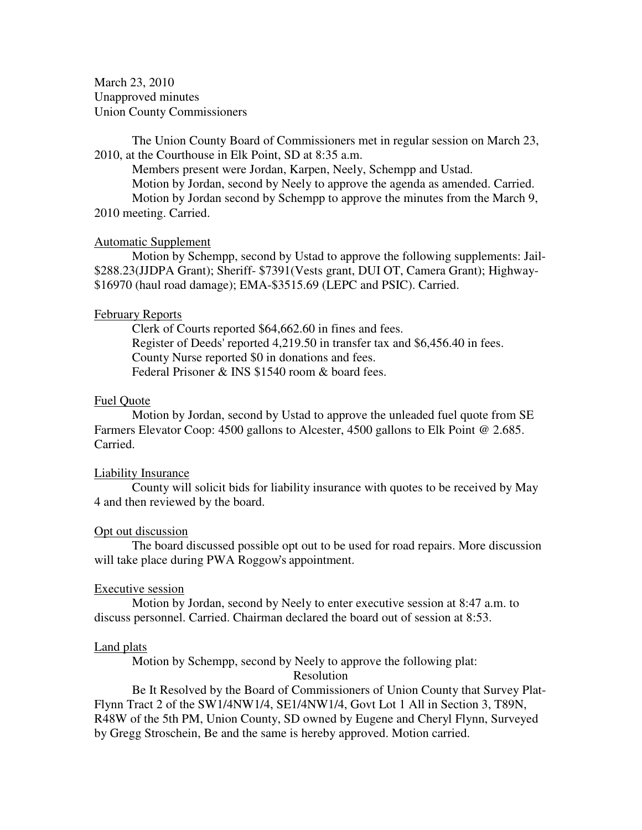March 23, 2010 Unapproved minutes Union County Commissioners

The Union County Board of Commissioners met in regular session on March 23, 2010, at the Courthouse in Elk Point, SD at 8:35 a.m.

 Members present were Jordan, Karpen, Neely, Schempp and Ustad. Motion by Jordan, second by Neely to approve the agenda as amended. Carried. Motion by Jordan second by Schempp to approve the minutes from the March 9, 2010 meeting. Carried.

### Automatic Supplement

 Motion by Schempp, second by Ustad to approve the following supplements: Jail- \$288.23(JJDPA Grant); Sheriff- \$7391(Vests grant, DUI OT, Camera Grant); Highway- \$16970 (haul road damage); EMA-\$3515.69 (LEPC and PSIC). Carried.

#### February Reports

 Clerk of Courts reported \$64,662.60 in fines and fees. Register of Deeds' reported 4,219.50 in transfer tax and \$6,456.40 in fees. County Nurse reported \$0 in donations and fees. Federal Prisoner & INS \$1540 room & board fees.

#### Fuel Quote

 Motion by Jordan, second by Ustad to approve the unleaded fuel quote from SE Farmers Elevator Coop: 4500 gallons to Alcester, 4500 gallons to Elk Point @ 2.685. Carried.

#### Liability Insurance

 County will solicit bids for liability insurance with quotes to be received by May 4 and then reviewed by the board.

### Opt out discussion

 The board discussed possible opt out to be used for road repairs. More discussion will take place during PWA Roggow's appointment.

### Executive session

 Motion by Jordan, second by Neely to enter executive session at 8:47 a.m. to discuss personnel. Carried. Chairman declared the board out of session at 8:53.

#### Land plats

Motion by Schempp, second by Neely to approve the following plat:

# Resolution

 Be It Resolved by the Board of Commissioners of Union County that Survey Plat-Flynn Tract 2 of the SW1/4NW1/4, SE1/4NW1/4, Govt Lot 1 All in Section 3, T89N, R48W of the 5th PM, Union County, SD owned by Eugene and Cheryl Flynn, Surveyed by Gregg Stroschein, Be and the same is hereby approved. Motion carried.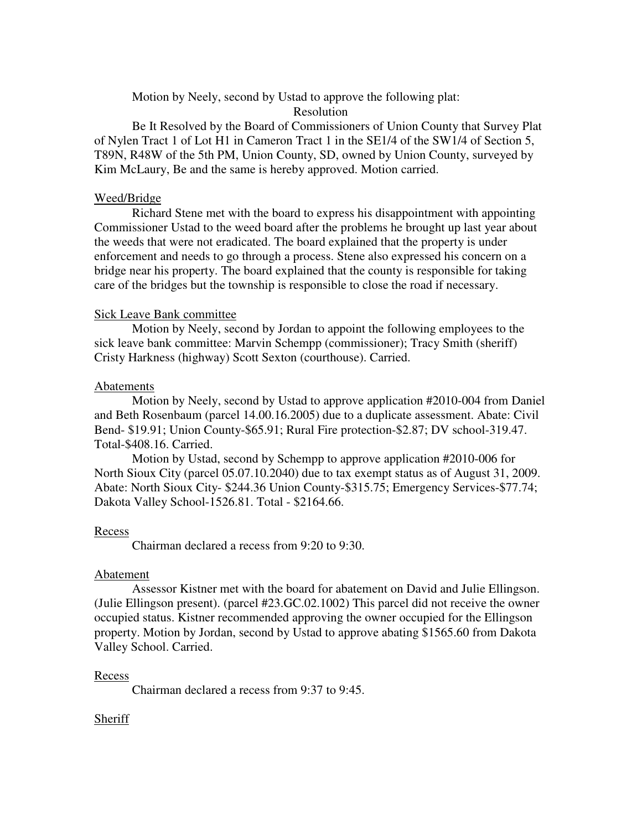Motion by Neely, second by Ustad to approve the following plat:

# Resolution

 Be It Resolved by the Board of Commissioners of Union County that Survey Plat of Nylen Tract 1 of Lot H1 in Cameron Tract 1 in the SE1/4 of the SW1/4 of Section 5, T89N, R48W of the 5th PM, Union County, SD, owned by Union County, surveyed by Kim McLaury, Be and the same is hereby approved. Motion carried.

# Weed/Bridge

 Richard Stene met with the board to express his disappointment with appointing Commissioner Ustad to the weed board after the problems he brought up last year about the weeds that were not eradicated. The board explained that the property is under enforcement and needs to go through a process. Stene also expressed his concern on a bridge near his property. The board explained that the county is responsible for taking care of the bridges but the township is responsible to close the road if necessary.

# Sick Leave Bank committee

 Motion by Neely, second by Jordan to appoint the following employees to the sick leave bank committee: Marvin Schempp (commissioner); Tracy Smith (sheriff) Cristy Harkness (highway) Scott Sexton (courthouse). Carried.

# Abatements

 Motion by Neely, second by Ustad to approve application #2010-004 from Daniel and Beth Rosenbaum (parcel 14.00.16.2005) due to a duplicate assessment. Abate: Civil Bend- \$19.91; Union County-\$65.91; Rural Fire protection-\$2.87; DV school-319.47. Total-\$408.16. Carried.

 Motion by Ustad, second by Schempp to approve application #2010-006 for North Sioux City (parcel 05.07.10.2040) due to tax exempt status as of August 31, 2009. Abate: North Sioux City- \$244.36 Union County-\$315.75; Emergency Services-\$77.74; Dakota Valley School-1526.81. Total - \$2164.66.

### Recess

Chairman declared a recess from 9:20 to 9:30.

### Abatement

 Assessor Kistner met with the board for abatement on David and Julie Ellingson. (Julie Ellingson present). (parcel #23.GC.02.1002) This parcel did not receive the owner occupied status. Kistner recommended approving the owner occupied for the Ellingson property. Motion by Jordan, second by Ustad to approve abating \$1565.60 from Dakota Valley School. Carried.

# Recess

Chairman declared a recess from 9:37 to 9:45.

# Sheriff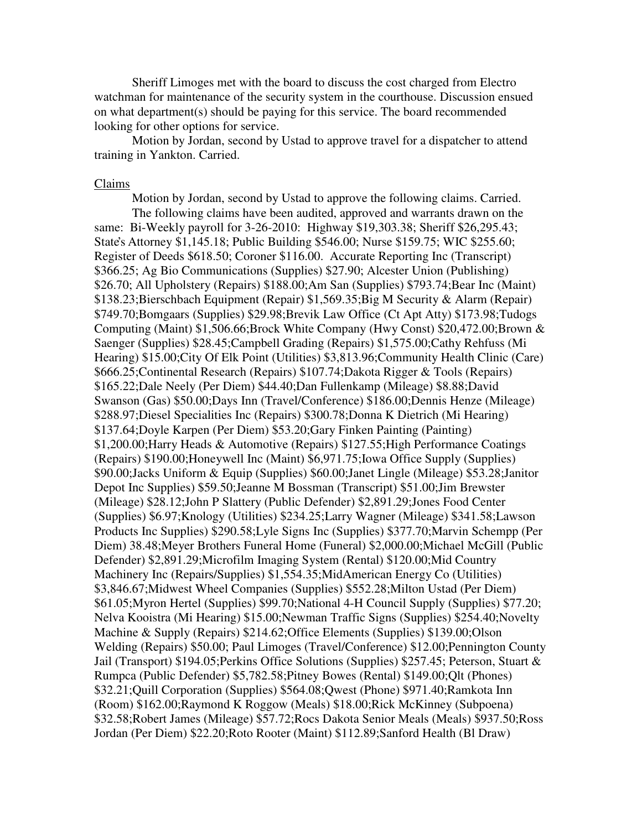Sheriff Limoges met with the board to discuss the cost charged from Electro watchman for maintenance of the security system in the courthouse. Discussion ensued on what department(s) should be paying for this service. The board recommended looking for other options for service.

 Motion by Jordan, second by Ustad to approve travel for a dispatcher to attend training in Yankton. Carried.

#### Claims

 Motion by Jordan, second by Ustad to approve the following claims. Carried. The following claims have been audited, approved and warrants drawn on the same: Bi-Weekly payroll for 3-26-2010: Highway \$19,303.38; Sheriff \$26,295.43; State's Attorney \$1,145.18; Public Building \$546.00; Nurse \$159.75; WIC \$255.60; Register of Deeds \$618.50; Coroner \$116.00. Accurate Reporting Inc (Transcript) \$366.25; Ag Bio Communications (Supplies) \$27.90; Alcester Union (Publishing) \$26.70; All Upholstery (Repairs) \$188.00;Am San (Supplies) \$793.74;Bear Inc (Maint) \$138.23;Bierschbach Equipment (Repair) \$1,569.35;Big M Security & Alarm (Repair) \$749.70;Bomgaars (Supplies) \$29.98;Brevik Law Office (Ct Apt Atty) \$173.98;Tudogs Computing (Maint) \$1,506.66;Brock White Company (Hwy Const) \$20,472.00;Brown & Saenger (Supplies) \$28.45;Campbell Grading (Repairs) \$1,575.00;Cathy Rehfuss (Mi Hearing) \$15.00;City Of Elk Point (Utilities) \$3,813.96;Community Health Clinic (Care) \$666.25;Continental Research (Repairs) \$107.74;Dakota Rigger & Tools (Repairs) \$165.22;Dale Neely (Per Diem) \$44.40;Dan Fullenkamp (Mileage) \$8.88;David Swanson (Gas) \$50.00;Days Inn (Travel/Conference) \$186.00;Dennis Henze (Mileage) \$288.97;Diesel Specialities Inc (Repairs) \$300.78;Donna K Dietrich (Mi Hearing) \$137.64;Doyle Karpen (Per Diem) \$53.20;Gary Finken Painting (Painting) \$1,200.00;Harry Heads & Automotive (Repairs) \$127.55;High Performance Coatings (Repairs) \$190.00;Honeywell Inc (Maint) \$6,971.75;Iowa Office Supply (Supplies) \$90.00;Jacks Uniform & Equip (Supplies) \$60.00;Janet Lingle (Mileage) \$53.28;Janitor Depot Inc Supplies) \$59.50;Jeanne M Bossman (Transcript) \$51.00;Jim Brewster (Mileage) \$28.12;John P Slattery (Public Defender) \$2,891.29;Jones Food Center (Supplies) \$6.97;Knology (Utilities) \$234.25;Larry Wagner (Mileage) \$341.58;Lawson Products Inc Supplies) \$290.58;Lyle Signs Inc (Supplies) \$377.70;Marvin Schempp (Per Diem) 38.48;Meyer Brothers Funeral Home (Funeral) \$2,000.00;Michael McGill (Public Defender) \$2,891.29;Microfilm Imaging System (Rental) \$120.00;Mid Country Machinery Inc (Repairs/Supplies) \$1,554.35;MidAmerican Energy Co (Utilities) \$3,846.67;Midwest Wheel Companies (Supplies) \$552.28;Milton Ustad (Per Diem) \$61.05;Myron Hertel (Supplies) \$99.70;National 4-H Council Supply (Supplies) \$77.20; Nelva Kooistra (Mi Hearing) \$15.00;Newman Traffic Signs (Supplies) \$254.40;Novelty Machine & Supply (Repairs) \$214.62;Office Elements (Supplies) \$139.00;Olson Welding (Repairs) \$50.00; Paul Limoges (Travel/Conference) \$12.00;Pennington County Jail (Transport) \$194.05;Perkins Office Solutions (Supplies) \$257.45; Peterson, Stuart & Rumpca (Public Defender) \$5,782.58;Pitney Bowes (Rental) \$149.00;Qlt (Phones) \$32.21;Quill Corporation (Supplies) \$564.08;Qwest (Phone) \$971.40;Ramkota Inn (Room) \$162.00;Raymond K Roggow (Meals) \$18.00;Rick McKinney (Subpoena) \$32.58;Robert James (Mileage) \$57.72;Rocs Dakota Senior Meals (Meals) \$937.50;Ross Jordan (Per Diem) \$22.20;Roto Rooter (Maint) \$112.89;Sanford Health (Bl Draw)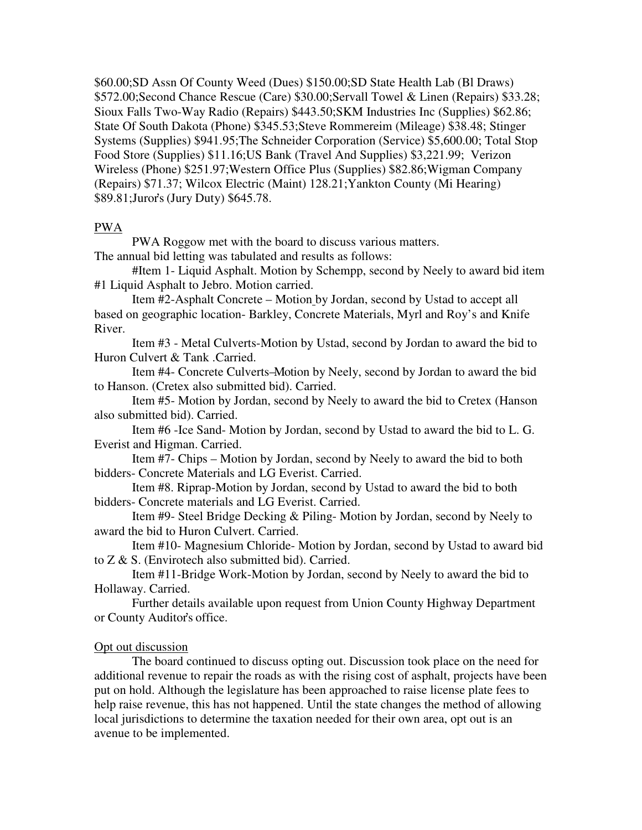\$60.00;SD Assn Of County Weed (Dues) \$150.00;SD State Health Lab (Bl Draws) \$572.00;Second Chance Rescue (Care) \$30.00;Servall Towel & Linen (Repairs) \$33.28; Sioux Falls Two-Way Radio (Repairs) \$443.50;SKM Industries Inc (Supplies) \$62.86; State Of South Dakota (Phone) \$345.53;Steve Rommereim (Mileage) \$38.48; Stinger Systems (Supplies) \$941.95;The Schneider Corporation (Service) \$5,600.00; Total Stop Food Store (Supplies) \$11.16;US Bank (Travel And Supplies) \$3,221.99; Verizon Wireless (Phone) \$251.97;Western Office Plus (Supplies) \$82.86;Wigman Company (Repairs) \$71.37; Wilcox Electric (Maint) 128.21;Yankton County (Mi Hearing) \$89.81;Juror's (Jury Duty) \$645.78.

### PWA

 PWA Roggow met with the board to discuss various matters. The annual bid letting was tabulated and results as follows:

 #Item 1- Liquid Asphalt. Motion by Schempp, second by Neely to award bid item #1 Liquid Asphalt to Jebro. Motion carried.

Item #2-Asphalt Concrete – Motion by Jordan, second by Ustad to accept all based on geographic location- Barkley, Concrete Materials, Myrl and Roy's and Knife River.

Item #3 - Metal Culverts-Motion by Ustad, second by Jordan to award the bid to Huron Culvert & Tank .Carried.

Item #4- Concrete Culverts –Motion by Neely, second by Jordan to award the bid to Hanson. (Cretex also submitted bid). Carried.

Item #5- Motion by Jordan, second by Neely to award the bid to Cretex (Hanson also submitted bid). Carried.

Item #6 -Ice Sand- Motion by Jordan, second by Ustad to award the bid to L. G. Everist and Higman. Carried.

Item #7- Chips – Motion by Jordan, second by Neely to award the bid to both bidders- Concrete Materials and LG Everist. Carried.

 Item #8. Riprap-Motion by Jordan, second by Ustad to award the bid to both bidders- Concrete materials and LG Everist. Carried.

 Item #9- Steel Bridge Decking & Piling- Motion by Jordan, second by Neely to award the bid to Huron Culvert. Carried.

Item #10- Magnesium Chloride- Motion by Jordan, second by Ustad to award bid to Z & S. (Envirotech also submitted bid). Carried.

Item #11-Bridge Work-Motion by Jordan, second by Neely to award the bid to Hollaway. Carried.

 Further details available upon request from Union County Highway Department or County Auditor's office.

# Opt out discussion

 The board continued to discuss opting out. Discussion took place on the need for additional revenue to repair the roads as with the rising cost of asphalt, projects have been put on hold. Although the legislature has been approached to raise license plate fees to help raise revenue, this has not happened. Until the state changes the method of allowing local jurisdictions to determine the taxation needed for their own area, opt out is an avenue to be implemented.